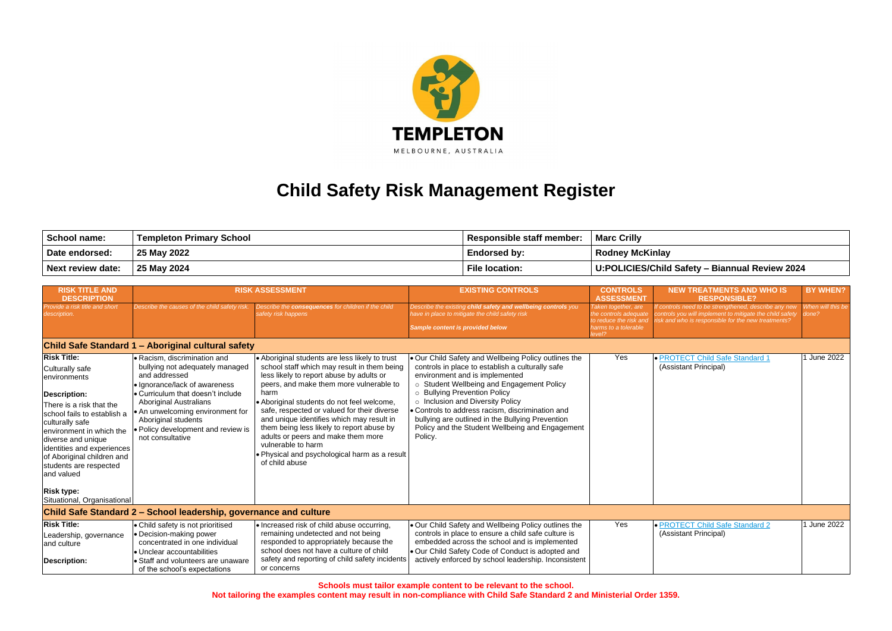**Not tailoring the examples content may result in non-compliance with Child Safe Standard 2 and Ministerial Order 1359.**



## **Child Safety Risk Management Register**

| School name:      | ' Templeton Primary School | <b>Responsible staff member:</b> | <b>Marc Crilly</b>                             |
|-------------------|----------------------------|----------------------------------|------------------------------------------------|
| Date endorsed:    | 25 May 2022                | <b>Endorsed by:</b>              | <b>Rodney McKinlay</b>                         |
| Next review date: | 25 May 2024                | <b>File location:</b>            | U:POLICIES/Child Safety - Biannual Review 2024 |

| <b>RISK TITLE AND</b><br><b>DESCRIPTION</b>                                                                                                                                                                                                                                                                      |                                                                                                                                                                                                                                                                                                              | <b>RISK ASSESSMENT</b>                                                                                                                                                                                                                                                                                                                                                                                                                                                                                             | <b>EXISTING CONTROLS</b>                                                                                                                                                                                                                                                                                                                                                                                                          | <b>CONTROLS</b><br><b>ASSESSMENT</b>                                                                    | <b>NEW TREATMENTS AND WHO IS</b><br><b>RESPONSIBLE?</b>                                                                                                                 | <b>BY WHEN?</b>            |
|------------------------------------------------------------------------------------------------------------------------------------------------------------------------------------------------------------------------------------------------------------------------------------------------------------------|--------------------------------------------------------------------------------------------------------------------------------------------------------------------------------------------------------------------------------------------------------------------------------------------------------------|--------------------------------------------------------------------------------------------------------------------------------------------------------------------------------------------------------------------------------------------------------------------------------------------------------------------------------------------------------------------------------------------------------------------------------------------------------------------------------------------------------------------|-----------------------------------------------------------------------------------------------------------------------------------------------------------------------------------------------------------------------------------------------------------------------------------------------------------------------------------------------------------------------------------------------------------------------------------|---------------------------------------------------------------------------------------------------------|-------------------------------------------------------------------------------------------------------------------------------------------------------------------------|----------------------------|
| Provide a risk title and short<br>lescription.                                                                                                                                                                                                                                                                   | Describe the causes of the child safety risk.                                                                                                                                                                                                                                                                | Describe the consequences for children if the child<br>safety risk happens                                                                                                                                                                                                                                                                                                                                                                                                                                         | Describe the existing child safety and wellbeing controls you<br>ave in place to mitigate the child safety risk<br>Sample content is provided below                                                                                                                                                                                                                                                                               | Taken together, are<br>the controls adequate<br>to reduce the risk and<br>harms to a tolerable<br>evel? | f controls need to be strengthened, describe any new<br>controls you will implement to mitigate the child safety<br>risk and who is responsible for the new treatments? | When will this be<br>done? |
|                                                                                                                                                                                                                                                                                                                  | Child Safe Standard 1 - Aboriginal cultural safety                                                                                                                                                                                                                                                           |                                                                                                                                                                                                                                                                                                                                                                                                                                                                                                                    |                                                                                                                                                                                                                                                                                                                                                                                                                                   |                                                                                                         |                                                                                                                                                                         |                            |
| <b>Risk Title:</b><br>Culturally safe<br>environments<br><b>Description:</b><br>There is a risk that the<br>school fails to establish a<br>culturally safe<br>environment in which the<br>diverse and unique<br>identities and experiences<br>of Aboriginal children and<br>students are respected<br>and valued | · Racism, discrimination and<br>bullying not adequately managed<br>and addressed<br>· Ignorance/lack of awareness<br>• Curriculum that doesn't include<br><b>Aboriginal Australians</b><br>• An unwelcoming environment for<br>Aboriginal students<br>· Policy development and review is<br>not consultative | • Aboriginal students are less likely to trust<br>school staff which may result in them being<br>less likely to report abuse by adults or<br>peers, and make them more vulnerable to<br>harm<br>• Aboriginal students do not feel welcome,<br>safe, respected or valued for their diverse<br>and unique identifies which may result in<br>them being less likely to report abuse by<br>adults or peers and make them more<br>vulnerable to harm<br>• Physical and psychological harm as a result<br>of child abuse | . Our Child Safety and Wellbeing Policy outlines the<br>controls in place to establish a culturally safe<br>environment and is implemented<br>o Student Wellbeing and Engagement Policy<br>o Bullying Prevention Policy<br>o Inclusion and Diversity Policy<br>· Controls to address racism, discrimination and<br>bullying are outlined in the Bullying Prevention<br>Policy and the Student Wellbeing and Engagement<br>Policy. | Yes                                                                                                     | · PROTECT Child Safe Standard 1<br>(Assistant Principal)                                                                                                                | 1 June 2022                |
| <b>Risk type:</b><br>Situational, Organisational                                                                                                                                                                                                                                                                 |                                                                                                                                                                                                                                                                                                              |                                                                                                                                                                                                                                                                                                                                                                                                                                                                                                                    |                                                                                                                                                                                                                                                                                                                                                                                                                                   |                                                                                                         |                                                                                                                                                                         |                            |
|                                                                                                                                                                                                                                                                                                                  | Child Safe Standard 2 – School leadership, governance and culture                                                                                                                                                                                                                                            |                                                                                                                                                                                                                                                                                                                                                                                                                                                                                                                    |                                                                                                                                                                                                                                                                                                                                                                                                                                   |                                                                                                         |                                                                                                                                                                         |                            |
| <b>Risk Title:</b><br>Leadership, governance<br>and culture<br><b>Description:</b>                                                                                                                                                                                                                               | • Child safety is not prioritised<br>• Decision-making power<br>concentrated in one individual<br>· Unclear accountabilities<br>• Staff and volunteers are unaware<br>of the school's expectations                                                                                                           | • Increased risk of child abuse occurring,<br>remaining undetected and not being<br>responded to appropriately because the<br>school does not have a culture of child<br>safety and reporting of child safety incidents<br>or concerns                                                                                                                                                                                                                                                                             | . Our Child Safety and Wellbeing Policy outlines the<br>controls in place to ensure a child safe culture is<br>embedded across the school and is implemented<br>. Our Child Safety Code of Conduct is adopted and<br>actively enforced by school leadership. Inconsistent                                                                                                                                                         | Yes                                                                                                     | • PROTECT Child Safe Standard 2<br>(Assistant Principal)                                                                                                                | 1 June 2022                |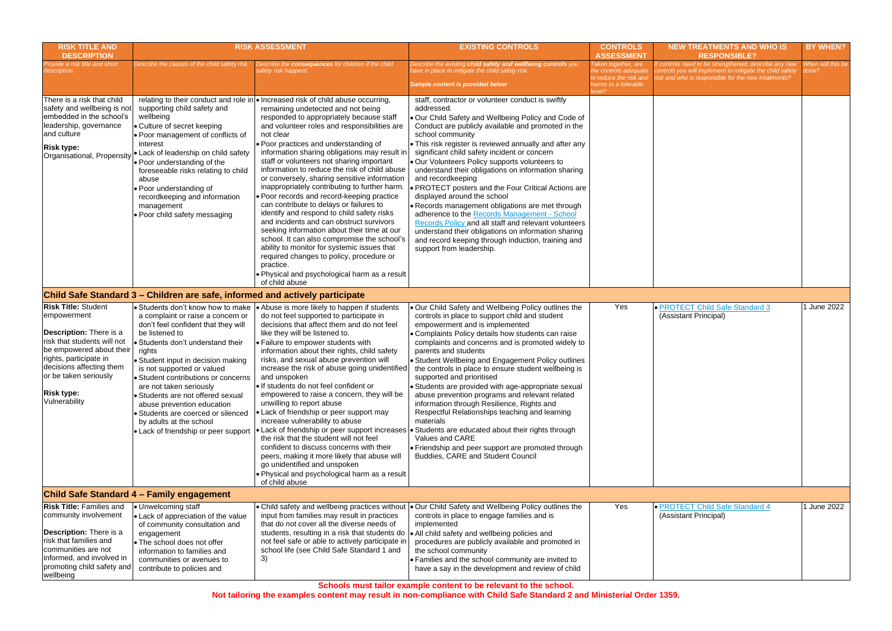| <b>RISK TITLE AND</b><br><b>DESCRIPTION</b>                                                                                                                                                                                                          | <b>RISK ASSESSMENT</b>                                                                                                                                                                                                                                                                                                                                                                                                                                                                                                                                                           |                                                                                                                                                                                                                                                                                                                                                                                                                                                                                                                                                                                                                                                                                                                                                                                                                                                                                                                                                                                      | <b>EXISTING CONTROLS</b>                                                                                                                                                                                                                                                                                                                                                                                                                                                                                                                                                                                                                                                                                                                                                                                                                                        | <b>CONTROLS</b><br><b>ASSESSMENT</b>                                                                     | N                               |
|------------------------------------------------------------------------------------------------------------------------------------------------------------------------------------------------------------------------------------------------------|----------------------------------------------------------------------------------------------------------------------------------------------------------------------------------------------------------------------------------------------------------------------------------------------------------------------------------------------------------------------------------------------------------------------------------------------------------------------------------------------------------------------------------------------------------------------------------|--------------------------------------------------------------------------------------------------------------------------------------------------------------------------------------------------------------------------------------------------------------------------------------------------------------------------------------------------------------------------------------------------------------------------------------------------------------------------------------------------------------------------------------------------------------------------------------------------------------------------------------------------------------------------------------------------------------------------------------------------------------------------------------------------------------------------------------------------------------------------------------------------------------------------------------------------------------------------------------|-----------------------------------------------------------------------------------------------------------------------------------------------------------------------------------------------------------------------------------------------------------------------------------------------------------------------------------------------------------------------------------------------------------------------------------------------------------------------------------------------------------------------------------------------------------------------------------------------------------------------------------------------------------------------------------------------------------------------------------------------------------------------------------------------------------------------------------------------------------------|----------------------------------------------------------------------------------------------------------|---------------------------------|
| Provide a risk title and short<br>description.                                                                                                                                                                                                       | Describe the causes of the child safety risk.                                                                                                                                                                                                                                                                                                                                                                                                                                                                                                                                    | Describe the consequences for children if the child<br>safety risk happens                                                                                                                                                                                                                                                                                                                                                                                                                                                                                                                                                                                                                                                                                                                                                                                                                                                                                                           | Describe the existing child safety and wellbeing controls you<br>have in place to mitigate the child safety risk<br>Sample content is provided below                                                                                                                                                                                                                                                                                                                                                                                                                                                                                                                                                                                                                                                                                                            | Taken together, are<br>the controls adequate<br>to reduce the risk and<br>harms to a tolerable<br>level? | f contr<br>control:<br>risk and |
| There is a risk that child<br>safety and wellbeing is not<br>embedded in the school's<br>leadership, governance<br>and culture<br><b>Risk type:</b><br>Organisational, Propensity                                                                    | supporting child safety and<br>wellbeing<br>• Culture of secret keeping<br>. Poor management of conflicts of<br>interest<br><b>.</b> Lack of leadership on child safety<br>$\bullet$ Poor understanding of the<br>foreseeable risks relating to child<br>abuse<br>• Poor understanding of<br>recordkeeping and information<br>management<br>. Poor child safety messaging                                                                                                                                                                                                        | relating to their conduct and role in • Increased risk of child abuse occurring,<br>remaining undetected and not being<br>responded to appropriately because staff<br>and volunteer roles and responsibilities are<br>not clear<br>. Poor practices and understanding of<br>information sharing obligations may result in<br>staff or volunteers not sharing important<br>information to reduce the risk of child abuse<br>or conversely, sharing sensitive information<br>inappropriately contributing to further harm.<br>• Poor records and record-keeping practice<br>can contribute to delays or failures to<br>identify and respond to child safety risks<br>and incidents and can obstruct survivors<br>seeking information about their time at our<br>school. It can also compromise the school's<br>ability to monitor for systemic issues that<br>required changes to policy, procedure or<br>practice.<br>. Physical and psychological harm as a result<br>of child abuse | staff, contractor or volunteer conduct is swiftly<br>addressed.<br>. Our Child Safety and Wellbeing Policy and Code of<br>Conduct are publicly available and promoted in the<br>school community<br>. This risk register is reviewed annually and after any<br>significant child safety incident or concern<br>. Our Volunteers Policy supports volunteers to<br>understand their obligations on information sharing<br>and recordkeeping<br>• PROTECT posters and the Four Critical Actions are<br>displayed around the school<br>• Records management obligations are met through<br>adherence to the Records Management - School<br>Records Policy and all staff and relevant volunteers<br>understand their obligations on information sharing<br>and record keeping through induction, training and<br>support from leadership.                            |                                                                                                          |                                 |
| <b>Risk Title: Student</b><br>empowerment<br>Description: There is a<br>risk that students will not<br>be empowered about their<br>rights, participate in<br>decisions affecting them<br>or be taken seriously<br><b>Risk type:</b><br>Vulnerability | Child Safe Standard 3 – Children are safe, informed and actively participate<br>• Students don't know how to make<br>a complaint or raise a concern or<br>don't feel confident that they will<br>be listened to<br>• Students don't understand their<br>rights<br>• Student input in decision making<br>is not supported or valued<br>• Student contributions or concerns<br>are not taken seriously<br>• Students are not offered sexual<br>abuse prevention education<br>• Students are coerced or silenced<br>by adults at the school<br>• Lack of friendship or peer support | • Abuse is more likely to happen if students<br>do not feel supported to participate in<br>decisions that affect them and do not feel<br>like they will be listened to.<br>• Failure to empower students with<br>information about their rights, child safety<br>risks, and sexual abuse prevention will<br>increase the risk of abuse going unidentified<br>and unspoken<br>If students do not feel confident or<br>empowered to raise a concern, they will be<br>unwilling to report abuse<br>• Lack of friendship or peer support may<br>increase vulnerability to abuse<br>the risk that the student will not feel<br>confident to discuss concerns with their<br>peers, making it more likely that abuse will<br>go unidentified and unspoken<br>. Physical and psychological harm as a result<br>of child abuse                                                                                                                                                                | . Our Child Safety and Wellbeing Policy outlines the<br>controls in place to support child and student<br>empowerment and is implemented<br>• Complaints Policy details how students can raise<br>complaints and concerns and is promoted widely to<br>parents and students<br>• Student Wellbeing and Engagement Policy outlines<br>the controls in place to ensure student wellbeing is<br>supported and prioritised<br>• Students are provided with age-appropriate sexual<br>abuse prevention programs and relevant related<br>information through Resilience, Rights and<br>Respectful Relationships teaching and learning<br>materials<br>• Lack of friendship or peer support increases • Students are educated about their rights through<br>Values and CARE<br>• Friendship and peer support are promoted through<br>Buddies, CARE and Student Council | Yes                                                                                                      | $\bullet$ PRC<br>(Ass           |
| <b>Risk Title: Families and</b><br>community involvement<br>Description: There is a<br>risk that families and<br>communities are not<br>informed, and involved in<br>promoting child safety and<br>wellbeing                                         | <b>Child Safe Standard 4 - Family engagement</b><br>Unwelcoming staff<br>• Lack of appreciation of the value<br>of community consultation and<br>engagement<br>• The school does not offer<br>information to families and<br>communities or avenues to<br>contribute to policies and                                                                                                                                                                                                                                                                                             | • Child safety and wellbeing practices without<br>input from families may result in practices<br>that do not cover all the diverse needs of<br>students, resulting in a risk that students do<br>not feel safe or able to actively participate in<br>school life (see Child Safe Standard 1 and<br>3)                                                                                                                                                                                                                                                                                                                                                                                                                                                                                                                                                                                                                                                                                | Our Child Safety and Wellbeing Policy outlines the<br>controls in place to engage families and is<br>implemented<br>• All child safety and wellbeing policies and<br>procedures are publicly available and promoted in<br>the school community<br>• Families and the school community are invited to<br>have a say in the development and review of child                                                                                                                                                                                                                                                                                                                                                                                                                                                                                                       | Yes                                                                                                      | $\bullet$ PRC<br>(Ass           |

| <b>ITROLS</b>                               | <b>NEW TREATMENTS AND WHO IS</b>                                                                                | <b>BY WHEN?</b>   |
|---------------------------------------------|-----------------------------------------------------------------------------------------------------------------|-------------------|
| <b>SSMENT</b><br>gether, are                | <b>RESPONSIBLE?</b><br>If controls need to be strengthened, describe any new                                    | When will this be |
| ols adequate<br>the risk and<br>a tolerable | controls you will implement to mitigate the child safety<br>risk and who is responsible for the new treatments? | done?             |
|                                             |                                                                                                                 |                   |
|                                             |                                                                                                                 |                   |
|                                             |                                                                                                                 |                   |
|                                             |                                                                                                                 |                   |
|                                             |                                                                                                                 |                   |
|                                             |                                                                                                                 |                   |
|                                             |                                                                                                                 |                   |
|                                             |                                                                                                                 |                   |
|                                             |                                                                                                                 |                   |
|                                             |                                                                                                                 |                   |
|                                             |                                                                                                                 |                   |
|                                             |                                                                                                                 |                   |
|                                             |                                                                                                                 |                   |
|                                             |                                                                                                                 |                   |
|                                             |                                                                                                                 |                   |
| Yes                                         | • <b>PROTECT Child Safe Standard 3</b><br>(Assistant Principal)                                                 | 1 June 2022       |
|                                             |                                                                                                                 |                   |
|                                             |                                                                                                                 |                   |
|                                             |                                                                                                                 |                   |
|                                             |                                                                                                                 |                   |
|                                             |                                                                                                                 |                   |
|                                             |                                                                                                                 |                   |
|                                             |                                                                                                                 |                   |
|                                             |                                                                                                                 |                   |
|                                             |                                                                                                                 |                   |
|                                             |                                                                                                                 |                   |
|                                             |                                                                                                                 |                   |
|                                             |                                                                                                                 |                   |
|                                             |                                                                                                                 |                   |
| Yes                                         | · PROTECT Child Safe Standard 4                                                                                 | 1 June 2022       |
|                                             | (Assistant Principal)                                                                                           |                   |
|                                             |                                                                                                                 |                   |
|                                             |                                                                                                                 |                   |
|                                             |                                                                                                                 |                   |
|                                             |                                                                                                                 |                   |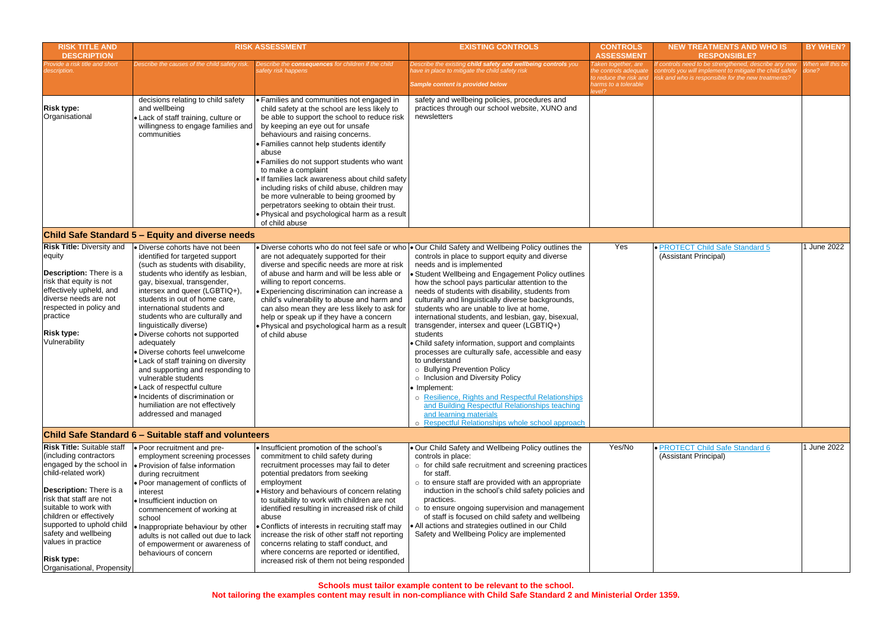| <b>RISK TITLE AND</b><br><b>DESCRIPTION</b>                                                                                                                                                                                                                                                                                                                    | <b>RISK ASSESSMENT</b>                                                                                                                                                                                                                                                                                                                                                                                                                                                                                                                                                                                                                                                     |                                                                                                                                                                                                                                                                                                                                                                                                                                                                                                                                                                                                              | <b>EXISTING CONTROLS</b>                                                                                                                                                                                                                                                                                                                                                                                                                                                                                                                                                                                                                                                                                                                                                                                                                                                                                                                                                               | <b>CONTROLS</b><br><b>ASSESSMENT</b>                                                                     | N                              |
|----------------------------------------------------------------------------------------------------------------------------------------------------------------------------------------------------------------------------------------------------------------------------------------------------------------------------------------------------------------|----------------------------------------------------------------------------------------------------------------------------------------------------------------------------------------------------------------------------------------------------------------------------------------------------------------------------------------------------------------------------------------------------------------------------------------------------------------------------------------------------------------------------------------------------------------------------------------------------------------------------------------------------------------------------|--------------------------------------------------------------------------------------------------------------------------------------------------------------------------------------------------------------------------------------------------------------------------------------------------------------------------------------------------------------------------------------------------------------------------------------------------------------------------------------------------------------------------------------------------------------------------------------------------------------|----------------------------------------------------------------------------------------------------------------------------------------------------------------------------------------------------------------------------------------------------------------------------------------------------------------------------------------------------------------------------------------------------------------------------------------------------------------------------------------------------------------------------------------------------------------------------------------------------------------------------------------------------------------------------------------------------------------------------------------------------------------------------------------------------------------------------------------------------------------------------------------------------------------------------------------------------------------------------------------|----------------------------------------------------------------------------------------------------------|--------------------------------|
| Provide a risk title and short<br>description.                                                                                                                                                                                                                                                                                                                 | Describe the causes of the child safety risk.                                                                                                                                                                                                                                                                                                                                                                                                                                                                                                                                                                                                                              | Describe the <b>consequences</b> for children if the child<br>safety risk happens                                                                                                                                                                                                                                                                                                                                                                                                                                                                                                                            | Describe the existing child safety and wellbeing controls you<br>have in place to mitigate the child safety risk<br><b>Sample content is provided below</b>                                                                                                                                                                                                                                                                                                                                                                                                                                                                                                                                                                                                                                                                                                                                                                                                                            | Taken together, are<br>the controls adequate<br>to reduce the risk and<br>harms to a tolerable<br>level? | lf conti<br>control<br>risk an |
| <b>Risk type:</b><br>Organisational                                                                                                                                                                                                                                                                                                                            | decisions relating to child safety<br>and wellbeing<br>• Lack of staff training, culture or<br>willingness to engage families and<br>communities                                                                                                                                                                                                                                                                                                                                                                                                                                                                                                                           | • Families and communities not engaged in<br>child safety at the school are less likely to<br>be able to support the school to reduce risk<br>by keeping an eye out for unsafe<br>behaviours and raising concerns.<br>• Families cannot help students identify<br>abuse<br>• Families do not support students who want<br>to make a complaint<br>. If families lack awareness about child safety<br>including risks of child abuse, children may<br>be more vulnerable to being groomed by<br>perpetrators seeking to obtain their trust.<br>. Physical and psychological harm as a result<br>of child abuse | safety and wellbeing policies, procedures and<br>practices through our school website, XUNO and<br>newsletters                                                                                                                                                                                                                                                                                                                                                                                                                                                                                                                                                                                                                                                                                                                                                                                                                                                                         |                                                                                                          |                                |
|                                                                                                                                                                                                                                                                                                                                                                | <b>Child Safe Standard 5 – Equity and diverse needs</b>                                                                                                                                                                                                                                                                                                                                                                                                                                                                                                                                                                                                                    |                                                                                                                                                                                                                                                                                                                                                                                                                                                                                                                                                                                                              |                                                                                                                                                                                                                                                                                                                                                                                                                                                                                                                                                                                                                                                                                                                                                                                                                                                                                                                                                                                        |                                                                                                          |                                |
| <b>Risk Title: Diversity and</b><br>equity<br><b>Description:</b> There is a<br>risk that equity is not<br>effectively upheld, and<br>diverse needs are not<br>respected in policy and<br>practice<br><b>Risk type:</b><br>Vulnerability                                                                                                                       | • Diverse cohorts have not been<br>identified for targeted support<br>(such as students with disability,<br>students who identify as lesbian,<br>gay, bisexual, transgender,<br>intersex and queer (LGBTIQ+),<br>students in out of home care.<br>international students and<br>students who are culturally and<br>linguistically diverse)<br>• Diverse cohorts not supported<br>adequately<br><b>.</b> Diverse cohorts feel unwelcome<br>• Lack of staff training on diversity<br>and supporting and responding to<br>vulnerable students<br>• Lack of respectful culture<br>. Incidents of discrimination or<br>humiliation are not effectively<br>addressed and managed | are not adequately supported for their<br>diverse and specific needs are more at risk<br>of abuse and harm and will be less able or<br>willing to report concerns.<br>• Experiencing discrimination can increase a<br>child's vulnerability to abuse and harm and<br>can also mean they are less likely to ask for<br>help or speak up if they have a concern<br>. Physical and psychological harm as a result<br>of child abuse                                                                                                                                                                             | • Diverse cohorts who do not feel safe or who • Our Child Safety and Wellbeing Policy outlines the<br>controls in place to support equity and diverse<br>needs and is implemented<br>• Student Wellbeing and Engagement Policy outlines<br>how the school pays particular attention to the<br>needs of students with disability, students from<br>culturally and linguistically diverse backgrounds,<br>students who are unable to live at home,<br>international students, and lesbian, gay, bisexual,<br>transgender, intersex and queer (LGBTIQ+)<br>students<br>• Child safety information, support and complaints<br>processes are culturally safe, accessible and easy<br>to understand<br>o Bullying Prevention Policy<br>o Inclusion and Diversity Policy<br>• Implement:<br>o Resilience, Rights and Respectful Relationships<br>and Building Respectful Relationships teaching<br>and learning materials<br><b>Respectful Relationships whole school approach</b><br>$\circ$ | Yes                                                                                                      | $\bullet$ PR(<br>(Ass          |
|                                                                                                                                                                                                                                                                                                                                                                | Child Safe Standard 6 - Suitable staff and volunteers                                                                                                                                                                                                                                                                                                                                                                                                                                                                                                                                                                                                                      |                                                                                                                                                                                                                                                                                                                                                                                                                                                                                                                                                                                                              |                                                                                                                                                                                                                                                                                                                                                                                                                                                                                                                                                                                                                                                                                                                                                                                                                                                                                                                                                                                        |                                                                                                          |                                |
| <b>Risk Title: Suitable staff</b><br>(including contractors)<br>engaged by the school in<br>child-related work)<br><b>Description:</b> There is a<br>risk that staff are not<br>suitable to work with<br>children or effectively<br>supported to uphold child<br>safety and wellbeing<br>values in practice<br><b>Risk type:</b><br>Organisational, Propensity | • Poor recruitment and pre-<br>employment screening processes<br>• Provision of false information<br>during recruitment<br>• Poor management of conflicts of<br>interest<br>• Insufficient induction on<br>commencement of working at<br>school<br>• Inappropriate behaviour by other<br>adults is not called out due to lack<br>of empowerment or awareness of<br>behaviours of concern                                                                                                                                                                                                                                                                                   | . Insufficient promotion of the school's<br>commitment to child safety during<br>recruitment processes may fail to deter<br>potential predators from seeking<br>employment<br>• History and behaviours of concern relating<br>to suitability to work with children are not<br>identified resulting in increased risk of child<br>abuse<br>• Conflicts of interests in recruiting staff may<br>increase the risk of other staff not reporting<br>concerns relating to staff conduct, and<br>where concerns are reported or identified,<br>increased risk of them not being responded                          | . Our Child Safety and Wellbeing Policy outlines the<br>controls in place:<br>o for child safe recruitment and screening practices<br>for staff.<br>$\circ$ to ensure staff are provided with an appropriate<br>induction in the school's child safety policies and<br>practices.<br>$\circ$ to ensure ongoing supervision and management<br>of staff is focused on child safety and wellbeing<br>. All actions and strategies outlined in our Child<br>Safety and Wellbeing Policy are implemented                                                                                                                                                                                                                                                                                                                                                                                                                                                                                    | Yes/No                                                                                                   | $\bullet$ PR(<br>(Ass          |

| <b>DNTROLS</b><br><b>SESSMENT</b>                                     | <b>NEW TREATMENTS AND WHO IS</b><br><b>RESPONSIBLE?</b>                                                                                                                  | <b>BY WHEN?</b>            |
|-----------------------------------------------------------------------|--------------------------------------------------------------------------------------------------------------------------------------------------------------------------|----------------------------|
| together, are<br>ntrols adequate<br>ce the risk and<br>to a tolerable | If controls need to be strengthened, describe any new<br>controls you will implement to mitigate the child safety<br>risk and who is responsible for the new treatments? | When will this be<br>done? |
|                                                                       |                                                                                                                                                                          |                            |
|                                                                       |                                                                                                                                                                          |                            |
|                                                                       |                                                                                                                                                                          |                            |
|                                                                       |                                                                                                                                                                          |                            |
|                                                                       |                                                                                                                                                                          |                            |
|                                                                       |                                                                                                                                                                          |                            |
| Yes                                                                   | · PROTECT Child Safe Standard 5<br>(Assistant Principal)                                                                                                                 | 1 June 2022                |
|                                                                       |                                                                                                                                                                          |                            |
|                                                                       |                                                                                                                                                                          |                            |
|                                                                       |                                                                                                                                                                          |                            |
|                                                                       |                                                                                                                                                                          |                            |
|                                                                       |                                                                                                                                                                          |                            |
|                                                                       |                                                                                                                                                                          |                            |
|                                                                       |                                                                                                                                                                          |                            |
| Yes/No                                                                | · PROTECT Child Safe Standard 6<br>(Assistant Principal)                                                                                                                 | 1 June 2022                |
|                                                                       |                                                                                                                                                                          |                            |
|                                                                       |                                                                                                                                                                          |                            |
|                                                                       |                                                                                                                                                                          |                            |
|                                                                       |                                                                                                                                                                          |                            |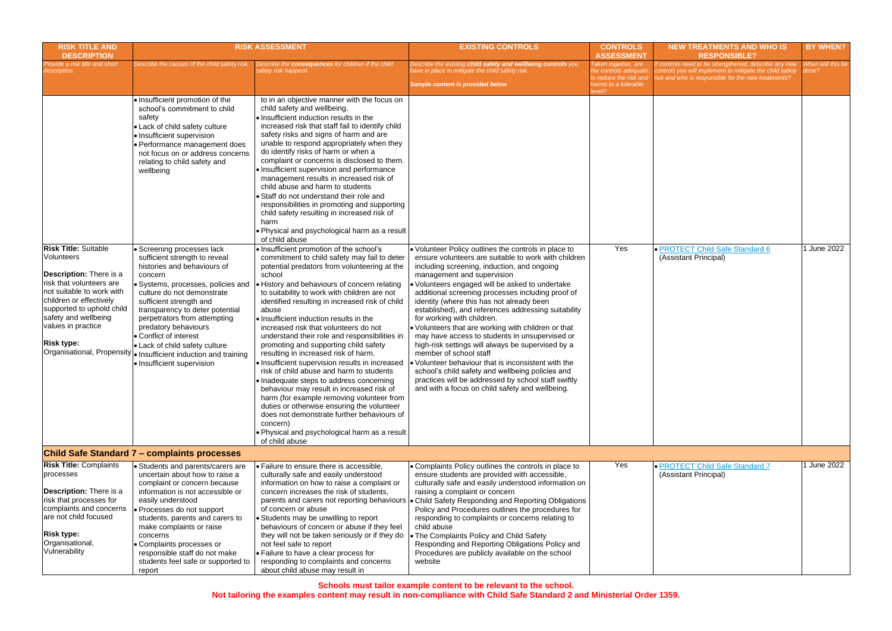| <b>RISK TITLE AND</b><br><b>DESCRIPTION</b>                                                                                                                                                                                                                                                   | <b>RISK ASSESSMENT</b>                                                                                                                                                                                                                                                                                                                                                                                                                                                                                                                                                                                                                                                                    |                                                                                                                                                                                                                                                                                                                                                                                                                                                                                                                                                                                                                                                                                                                                                                                                                                                                                                                                                                                                                                                                                                                                                                                                                                                                                                                                                                                                                                                                                                                                                                                                                                                                   | <b>EXISTING CONTROLS</b><br><b>CONTROLS</b><br><b>ASSESSMENT</b>                                                                                                                                                                                                                                                                                                                                                                                                                                                                                                                                                                                                                                                                                                                                                                             |                                                                                                | <b>NEW TREATMENTS AND WHO IS</b><br><b>RESPONSIBLE?</b>                                                                                                                 | BY WHEN?                   |
|-----------------------------------------------------------------------------------------------------------------------------------------------------------------------------------------------------------------------------------------------------------------------------------------------|-------------------------------------------------------------------------------------------------------------------------------------------------------------------------------------------------------------------------------------------------------------------------------------------------------------------------------------------------------------------------------------------------------------------------------------------------------------------------------------------------------------------------------------------------------------------------------------------------------------------------------------------------------------------------------------------|-------------------------------------------------------------------------------------------------------------------------------------------------------------------------------------------------------------------------------------------------------------------------------------------------------------------------------------------------------------------------------------------------------------------------------------------------------------------------------------------------------------------------------------------------------------------------------------------------------------------------------------------------------------------------------------------------------------------------------------------------------------------------------------------------------------------------------------------------------------------------------------------------------------------------------------------------------------------------------------------------------------------------------------------------------------------------------------------------------------------------------------------------------------------------------------------------------------------------------------------------------------------------------------------------------------------------------------------------------------------------------------------------------------------------------------------------------------------------------------------------------------------------------------------------------------------------------------------------------------------------------------------------------------------|----------------------------------------------------------------------------------------------------------------------------------------------------------------------------------------------------------------------------------------------------------------------------------------------------------------------------------------------------------------------------------------------------------------------------------------------------------------------------------------------------------------------------------------------------------------------------------------------------------------------------------------------------------------------------------------------------------------------------------------------------------------------------------------------------------------------------------------------|------------------------------------------------------------------------------------------------|-------------------------------------------------------------------------------------------------------------------------------------------------------------------------|----------------------------|
| rovide a risk title and short<br>escription.                                                                                                                                                                                                                                                  | Describe the causes of the child safety risk.                                                                                                                                                                                                                                                                                                                                                                                                                                                                                                                                                                                                                                             | Describe the consequences for children if the child<br>safety risk happens                                                                                                                                                                                                                                                                                                                                                                                                                                                                                                                                                                                                                                                                                                                                                                                                                                                                                                                                                                                                                                                                                                                                                                                                                                                                                                                                                                                                                                                                                                                                                                                        | Describe the existing child safety and wellbeing controls you<br>ave in place to mitigate the child safety risk<br>Sample content is provided below                                                                                                                                                                                                                                                                                                                                                                                                                                                                                                                                                                                                                                                                                          | Taken together, are<br>the controls adequate<br>to reduce the risk and<br>harms to a tolerable | f controls need to be strengthened, describe any new<br>controls you will implement to mitigate the child safety<br>risk and who is responsible for the new treatments? | When will this be<br>done? |
| <b>Risk Title: Suitable</b><br>Volunteers<br><b>Description:</b> There is a<br>risk that volunteers are<br>not suitable to work with<br>children or effectively<br>supported to uphold child<br>safety and wellbeing<br>values in practice<br><b>Risk type:</b><br>Organisational, Propensity | · Insufficient promotion of the<br>school's commitment to child<br>safety<br>• Lack of child safety culture<br>· Insufficient supervision<br>Performance management does<br>not focus on or address concerns<br>relating to child safety and<br>wellbeing<br>Screening processes lack<br>sufficient strength to reveal<br>histories and behaviours of<br>concern<br>Systems, processes, policies and<br>culture do not demonstrate<br>sufficient strength and<br>transparency to deter potential<br>perpetrators from attempting<br>predatory behaviours<br>Conflict of interest<br>• Lack of child safety culture<br>· Insufficient induction and training<br>· Insufficient supervision | to in an objective manner with the focus on<br>child safety and wellbeing.<br>• Insufficient induction results in the<br>increased risk that staff fail to identify child<br>safety risks and signs of harm and are<br>unable to respond appropriately when they<br>do identify risks of harm or when a<br>complaint or concerns is disclosed to them.<br>· Insufficient supervision and performance<br>management results in increased risk of<br>child abuse and harm to students<br>• Staff do not understand their role and<br>responsibilities in promoting and supporting<br>child safety resulting in increased risk of<br>harm<br>. Physical and psychological harm as a result<br>of child abuse<br>. Insufficient promotion of the school's<br>commitment to child safety may fail to deter<br>potential predators from volunteering at the<br>school<br>. History and behaviours of concern relating<br>to suitability to work with children are not<br>identified resulting in increased risk of child<br>abuse<br>• Insufficient induction results in the<br>increased risk that volunteers do not<br>understand their role and responsibilities in<br>promoting and supporting child safety<br>resulting in increased risk of harm.<br>• Insufficient supervision results in increased<br>risk of child abuse and harm to students<br>· Inadequate steps to address concerning<br>behaviour may result in increased risk of<br>harm (for example removing volunteer from<br>duties or otherwise ensuring the volunteer<br>does not demonstrate further behaviours of<br>concern)<br>. Physical and psychological harm as a result<br>of child abuse | • Volunteer Policy outlines the controls in place to<br>ensure volunteers are suitable to work with children<br>including screening, induction, and ongoing<br>management and supervision<br>Volunteers engaged will be asked to undertake<br>additional screening processes including proof of<br>identity (where this has not already been<br>established), and references addressing suitability<br>for working with children.<br>. Volunteers that are working with children or that<br>may have access to students in unsupervised or<br>high-risk settings will always be supervised by a<br>member of school staff<br>Volunteer behaviour that is inconsistent with the<br>school's child safety and wellbeing policies and<br>practices will be addressed by school staff swiftly<br>and with a focus on child safety and wellbeing. | evel?<br>Yes                                                                                   | · PROTECT Child Safe Standard 6<br>(Assistant Principal)                                                                                                                | June 2022                  |
|                                                                                                                                                                                                                                                                                               | <b>Child Safe Standard 7 - complaints processes</b>                                                                                                                                                                                                                                                                                                                                                                                                                                                                                                                                                                                                                                       |                                                                                                                                                                                                                                                                                                                                                                                                                                                                                                                                                                                                                                                                                                                                                                                                                                                                                                                                                                                                                                                                                                                                                                                                                                                                                                                                                                                                                                                                                                                                                                                                                                                                   |                                                                                                                                                                                                                                                                                                                                                                                                                                                                                                                                                                                                                                                                                                                                                                                                                                              |                                                                                                |                                                                                                                                                                         |                            |
| <b>Risk Title: Complaints</b><br>processes<br>Description: There is a<br>risk that processes for<br>complaints and concerns<br>are not child focused<br><b>Risk type:</b><br>Organisational,<br>Vulnerability                                                                                 | • Students and parents/carers are<br>uncertain about how to raise a<br>complaint or concern because<br>information is not accessible or<br>easily understood<br>· Processes do not support<br>students, parents and carers to<br>make complaints or raise<br>concerns<br>· Complaints processes or<br>responsible staff do not make<br>students feel safe or supported to<br>report                                                                                                                                                                                                                                                                                                       | • Failure to ensure there is accessible,<br>culturally safe and easily understood<br>information on how to raise a complaint or<br>concern increases the risk of students,<br>parents and carers not reporting behaviours<br>of concern or abuse<br>• Students may be unwilling to report<br>behaviours of concern or abuse if they feel<br>they will not be taken seriously or if they do<br>not feel safe to report<br>• Failure to have a clear process for<br>responding to complaints and concerns<br>about child abuse may result in                                                                                                                                                                                                                                                                                                                                                                                                                                                                                                                                                                                                                                                                                                                                                                                                                                                                                                                                                                                                                                                                                                                        | • Complaints Policy outlines the controls in place to<br>ensure students are provided with accessible,<br>culturally safe and easily understood information on<br>raising a complaint or concern<br>Child Safety Responding and Reporting Obligations<br>Policy and Procedures outlines the procedures for<br>responding to complaints or concerns relating to<br>child abuse<br>The Complaints Policy and Child Safety<br>Responding and Reporting Obligations Policy and<br>Procedures are publicly available on the school<br>website                                                                                                                                                                                                                                                                                                     | Yes                                                                                            | · PROTECT Child Safe Standard 7<br>(Assistant Principal)                                                                                                                | 1 June 2022                |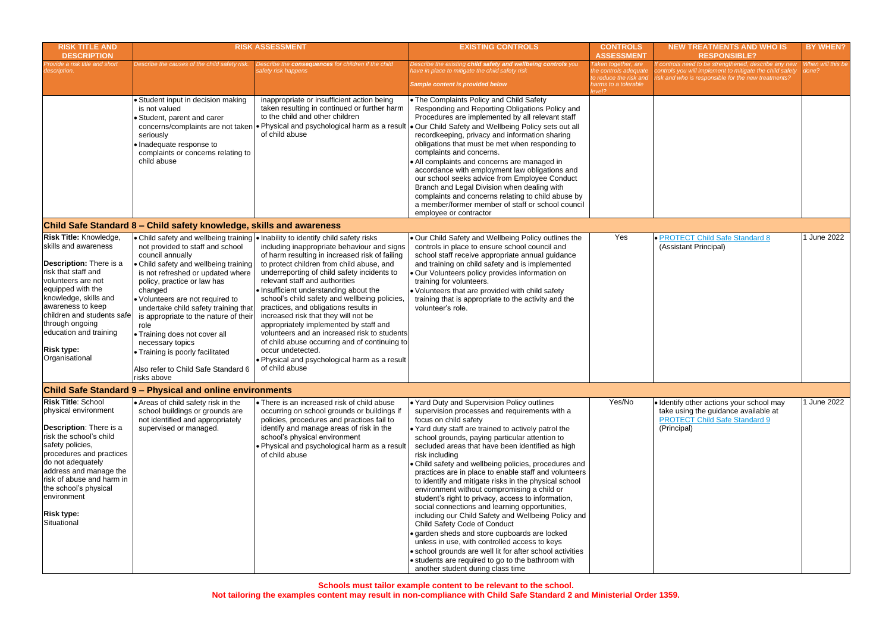| <b>RISK TITLE AND</b><br><b>DESCRIPTION</b>                                                                                                                                                                                                                                                                        |                                                                                                                                                                                                                                                                                                                                                                                                                                                          | <b>RISK ASSESSMENT</b>                                                                                                                                                                                                                                                                                                                                                                                                                                                                                                                                                                                                                                                                                                         | <b>EXISTING CONTROLS</b>                                                                                                                                                                                                                                                                                                                                                                                                                                                                                                                                                                                                                                                                                                                                                                                                                                                                                                                                                                 | <b>CONTROLS</b><br><b>ASSESSMENT</b>                                                                     | N                                     |
|--------------------------------------------------------------------------------------------------------------------------------------------------------------------------------------------------------------------------------------------------------------------------------------------------------------------|----------------------------------------------------------------------------------------------------------------------------------------------------------------------------------------------------------------------------------------------------------------------------------------------------------------------------------------------------------------------------------------------------------------------------------------------------------|--------------------------------------------------------------------------------------------------------------------------------------------------------------------------------------------------------------------------------------------------------------------------------------------------------------------------------------------------------------------------------------------------------------------------------------------------------------------------------------------------------------------------------------------------------------------------------------------------------------------------------------------------------------------------------------------------------------------------------|------------------------------------------------------------------------------------------------------------------------------------------------------------------------------------------------------------------------------------------------------------------------------------------------------------------------------------------------------------------------------------------------------------------------------------------------------------------------------------------------------------------------------------------------------------------------------------------------------------------------------------------------------------------------------------------------------------------------------------------------------------------------------------------------------------------------------------------------------------------------------------------------------------------------------------------------------------------------------------------|----------------------------------------------------------------------------------------------------------|---------------------------------------|
| Provide a risk title and short<br>description.                                                                                                                                                                                                                                                                     | Describe the causes of the child safety risk.                                                                                                                                                                                                                                                                                                                                                                                                            | Describe the consequences for children if the child<br>safety risk happens                                                                                                                                                                                                                                                                                                                                                                                                                                                                                                                                                                                                                                                     | Describe the existing child safety and wellbeing controls you<br>have in place to mitigate the child safety risk<br>Sample content is provided below                                                                                                                                                                                                                                                                                                                                                                                                                                                                                                                                                                                                                                                                                                                                                                                                                                     | Taken together, are<br>the controls adequate<br>to reduce the risk and<br>harms to a tolerable<br>level? | f contr<br>control<br>risk anı        |
|                                                                                                                                                                                                                                                                                                                    | • Student input in decision making<br>is not valued<br>• Student, parent and carer<br>concerns/complaints are not taken<br>seriously<br>· Inadequate response to<br>complaints or concerns relating to<br>child abuse                                                                                                                                                                                                                                    | inappropriate or insufficient action being<br>taken resulting in continued or further harm<br>to the child and other children<br>of child abuse                                                                                                                                                                                                                                                                                                                                                                                                                                                                                                                                                                                | • The Complaints Policy and Child Safety<br>Responding and Reporting Obligations Policy and<br>Procedures are implemented by all relevant staff<br>• Physical and psychological harm as a result • Our Child Safety and Wellbeing Policy sets out all<br>recordkeeping, privacy and information sharing<br>obligations that must be met when responding to<br>complaints and concerns.<br>• All complaints and concerns are managed in<br>accordance with employment law obligations and<br>our school seeks advice from Employee Conduct<br>Branch and Legal Division when dealing with<br>complaints and concerns relating to child abuse by<br>a member/former member of staff or school council<br>employee or contractor                                                                                                                                                                                                                                                            |                                                                                                          |                                       |
|                                                                                                                                                                                                                                                                                                                    | Child Safe Standard 8 – Child safety knowledge, skills and awareness                                                                                                                                                                                                                                                                                                                                                                                     |                                                                                                                                                                                                                                                                                                                                                                                                                                                                                                                                                                                                                                                                                                                                |                                                                                                                                                                                                                                                                                                                                                                                                                                                                                                                                                                                                                                                                                                                                                                                                                                                                                                                                                                                          |                                                                                                          |                                       |
| <b>Risk Title: Knowledge,</b><br>skills and awareness<br>Description: There is a<br>risk that staff and<br>volunteers are not<br>equipped with the<br>knowledge, skills and<br>awareness to keep<br>children and students safe<br>through ongoing<br>education and training<br><b>Risk type:</b><br>Organisational | not provided to staff and school<br>council annually<br>• Child safety and wellbeing training<br>is not refreshed or updated where<br>policy, practice or law has<br>changed<br>• Volunteers are not required to<br>undertake child safety training that<br>is appropriate to the nature of their<br>role<br>• Training does not cover all<br>necessary topics<br>• Training is poorly facilitated<br>Also refer to Child Safe Standard 6<br>risks above | • Child safety and wellbeing training • Inability to identify child safety risks<br>including inappropriate behaviour and signs<br>of harm resulting in increased risk of failing<br>to protect children from child abuse, and<br>underreporting of child safety incidents to<br>relevant staff and authorities<br>. Insufficient understanding about the<br>school's child safety and wellbeing policies,<br>practices, and obligations results in<br>increased risk that they will not be<br>appropriately implemented by staff and<br>volunteers and an increased risk to students<br>of child abuse occurring and of continuing to<br>occur undetected.<br>. Physical and psychological harm as a result<br>of child abuse | . Our Child Safety and Wellbeing Policy outlines the<br>controls in place to ensure school council and<br>school staff receive appropriate annual guidance<br>and training on child safety and is implemented<br>· Our Volunteers policy provides information on<br>training for volunteers.<br>. Volunteers that are provided with child safety<br>training that is appropriate to the activity and the<br>volunteer's role.                                                                                                                                                                                                                                                                                                                                                                                                                                                                                                                                                            | Yes                                                                                                      | $\bullet$ PRC<br>(Ass                 |
|                                                                                                                                                                                                                                                                                                                    | Child Safe Standard 9 - Physical and online environments                                                                                                                                                                                                                                                                                                                                                                                                 |                                                                                                                                                                                                                                                                                                                                                                                                                                                                                                                                                                                                                                                                                                                                |                                                                                                                                                                                                                                                                                                                                                                                                                                                                                                                                                                                                                                                                                                                                                                                                                                                                                                                                                                                          |                                                                                                          |                                       |
| <b>Risk Title: School</b><br>physical environment<br>Description: There is a<br>risk the school's child<br>safety policies,<br>procedures and practices<br>do not adequately<br>address and manage the<br>risk of abuse and harm in<br>the school's physical<br>environment<br><b>Risk type:</b><br>Situational    | • Areas of child safety risk in the<br>school buildings or grounds are<br>not identified and appropriately<br>supervised or managed.                                                                                                                                                                                                                                                                                                                     | • There is an increased risk of child abuse<br>occurring on school grounds or buildings if<br>policies, procedures and practices fail to<br>identify and manage areas of risk in the<br>school's physical environment<br>. Physical and psychological harm as a result<br>of child abuse                                                                                                                                                                                                                                                                                                                                                                                                                                       | . Yard Duty and Supervision Policy outlines<br>supervision processes and requirements with a<br>focus on child safety<br>. Yard duty staff are trained to actively patrol the<br>school grounds, paying particular attention to<br>secluded areas that have been identified as high<br>risk including<br>• Child safety and wellbeing policies, procedures and<br>practices are in place to enable staff and volunteers<br>to identify and mitigate risks in the physical school<br>environment without compromising a child or<br>student's right to privacy, access to information,<br>social connections and learning opportunities,<br>including our Child Safety and Wellbeing Policy and<br>Child Safety Code of Conduct<br>· garden sheds and store cupboards are locked<br>unless in use, with controlled access to keys<br>• school grounds are well lit for after school activities<br>• students are required to go to the bathroom with<br>another student during class time | Yes/No                                                                                                   | · Iden<br>take<br><b>PRC</b><br>(Prir |

| <b>DNTROLS</b>                                                                           | <b>NEW TREATMENTS AND WHO IS</b>                                                                                                                                                                | <b>BY WHEN?</b>            |
|------------------------------------------------------------------------------------------|-------------------------------------------------------------------------------------------------------------------------------------------------------------------------------------------------|----------------------------|
| <b>SESSMENT</b><br>together, are<br>ntrols adequate<br>ce the risk and<br>to a tolerable | <b>RESPONSIBLE?</b><br>If controls need to be strengthened, describe any new<br>controls you will implement to mitigate the child safety<br>risk and who is responsible for the new treatments? | When will this be<br>done? |
|                                                                                          |                                                                                                                                                                                                 |                            |
|                                                                                          |                                                                                                                                                                                                 |                            |
|                                                                                          |                                                                                                                                                                                                 |                            |
|                                                                                          |                                                                                                                                                                                                 |                            |
|                                                                                          |                                                                                                                                                                                                 |                            |
| Yes                                                                                      | · PROTECT Child Safe Standard 8<br>(Assistant Principal)                                                                                                                                        | 1 June 2022                |
| Yes/No                                                                                   | · Identify other actions your school may<br>take using the guidance available at<br><b>PROTECT Child Safe Standard 9</b><br>(Principal)                                                         | 1 June 2022                |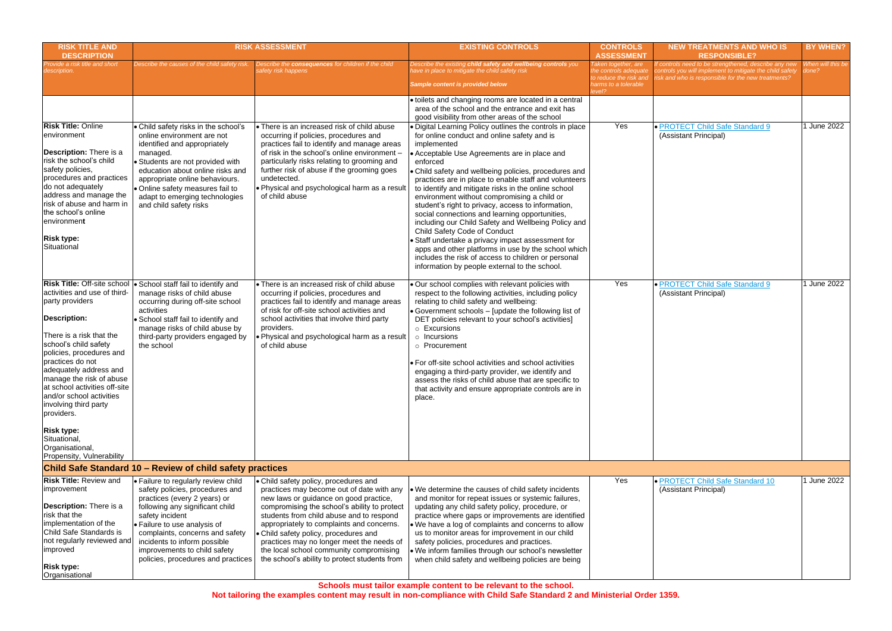| <b>RISK TITLE AND</b><br><b>DESCRIPTION</b>                                                                                                                                                                                                                                                                                                                                                                                                                      |                                                                                                                                                                                                                                                                                                                                       | <b>RISK ASSESSMENT</b>                                                                                                                                                                                                                                                                                                                                                                                                                                  | <b>EXISTING CONTROLS</b>                                                                                                                                                                                                                                                                                                                                                                                                                                                                                                                                                                                                                                                                                                                                                                                              | <b>CONTROLS</b><br><b>ASSESSMENT</b>                                                                   | <b>NEW TREATMENTS AND WHO IS</b><br><b>RESPONSIBLE?</b>                                                                                                                 | <b>BY WHEN?</b>            |
|------------------------------------------------------------------------------------------------------------------------------------------------------------------------------------------------------------------------------------------------------------------------------------------------------------------------------------------------------------------------------------------------------------------------------------------------------------------|---------------------------------------------------------------------------------------------------------------------------------------------------------------------------------------------------------------------------------------------------------------------------------------------------------------------------------------|---------------------------------------------------------------------------------------------------------------------------------------------------------------------------------------------------------------------------------------------------------------------------------------------------------------------------------------------------------------------------------------------------------------------------------------------------------|-----------------------------------------------------------------------------------------------------------------------------------------------------------------------------------------------------------------------------------------------------------------------------------------------------------------------------------------------------------------------------------------------------------------------------------------------------------------------------------------------------------------------------------------------------------------------------------------------------------------------------------------------------------------------------------------------------------------------------------------------------------------------------------------------------------------------|--------------------------------------------------------------------------------------------------------|-------------------------------------------------------------------------------------------------------------------------------------------------------------------------|----------------------------|
| rovide a risk title and short<br>escription.                                                                                                                                                                                                                                                                                                                                                                                                                     | Describe the causes of the child safety risk.                                                                                                                                                                                                                                                                                         | Describe the consequences for children if the child<br>safety risk happens                                                                                                                                                                                                                                                                                                                                                                              | Describe the existing child safety and wellbeing controls you<br>ave in place to mitigate the child safety risk<br>Sample content is provided below                                                                                                                                                                                                                                                                                                                                                                                                                                                                                                                                                                                                                                                                   | Taken together, are<br>the controls adequat<br>to reduce the risk and<br>harms to a tolerable<br>evel? | f controls need to be strengthened, describe any new<br>controls you will implement to mitigate the child safety<br>risk and who is responsible for the new treatments? | When will this be<br>done? |
|                                                                                                                                                                                                                                                                                                                                                                                                                                                                  |                                                                                                                                                                                                                                                                                                                                       |                                                                                                                                                                                                                                                                                                                                                                                                                                                         | toilets and changing rooms are located in a central<br>area of the school and the entrance and exit has<br>good visibility from other areas of the school                                                                                                                                                                                                                                                                                                                                                                                                                                                                                                                                                                                                                                                             |                                                                                                        |                                                                                                                                                                         |                            |
| <b>Risk Title: Online</b><br>environment<br>Description: There is a<br>risk the school's child<br>safety policies,<br>procedures and practices<br>do not adequately<br>address and manage the<br>risk of abuse and harm in<br>the school's online<br>environment<br><b>Risk type:</b><br>Situational                                                                                                                                                             | Child safety risks in the school's<br>online environment are not<br>identified and appropriately<br>managed.<br>Students are not provided with<br>education about online risks and<br>appropriate online behaviours.<br>· Online safety measures fail to<br>adapt to emerging technologies<br>and child safety risks                  | • There is an increased risk of child abuse<br>occurring if policies, procedures and<br>practices fail to identify and manage areas<br>of risk in the school's online environment -<br>particularly risks relating to grooming and<br>further risk of abuse if the grooming goes<br>undetected.<br>. Physical and psychological harm as a result<br>of child abuse                                                                                      | Digital Learning Policy outlines the controls in place<br>for online conduct and online safety and is<br>implemented<br>Acceptable Use Agreements are in place and<br>enforced<br>Child safety and wellbeing policies, procedures and<br>practices are in place to enable staff and volunteers<br>to identify and mitigate risks in the online school<br>environment without compromising a child or<br>student's right to privacy, access to information,<br>social connections and learning opportunities,<br>including our Child Safety and Wellbeing Policy and<br>Child Safety Code of Conduct<br>Staff undertake a privacy impact assessment for<br>apps and other platforms in use by the school which<br>includes the risk of access to children or personal<br>information by people external to the school. | Yes                                                                                                    | · PROTECT Child Safe Standard 9<br>(Assistant Principal)                                                                                                                | 1 June 2022                |
| <b>Risk Title: Off-site school</b><br>activities and use of third-<br>party providers<br><b>Description:</b><br>There is a risk that the<br>school's child safety<br>policies, procedures and<br>practices do not<br>adequately address and<br>manage the risk of abuse<br>at school activities off-site<br>and/or school activities<br>involving third party<br>providers.<br><b>Risk type:</b><br>Situational,<br>Organisational,<br>Propensity, Vulnerability | · School staff fail to identify and<br>manage risks of child abuse<br>occurring during off-site school<br>activities<br>School staff fail to identify and<br>manage risks of child abuse by<br>third-party providers engaged by<br>the school                                                                                         | • There is an increased risk of child abuse<br>occurring if policies, procedures and<br>practices fail to identify and manage areas<br>of risk for off-site school activities and<br>school activities that involve third party<br>providers.<br>. Physical and psychological harm as a result<br>of child abuse                                                                                                                                        | Our school complies with relevant policies with<br>respect to the following activities, including policy<br>relating to child safety and wellbeing:<br>Government schools - [update the following list of<br>DET policies relevant to your school's activities]<br>o Excursions<br>$\circ$ Incursions<br>o Procurement<br>For off-site school activities and school activities<br>engaging a third-party provider, we identify and<br>assess the risks of child abuse that are specific to<br>that activity and ensure appropriate controls are in<br>place.                                                                                                                                                                                                                                                          | Yes                                                                                                    | · PROTECT Child Safe Standard 9<br>(Assistant Principal)                                                                                                                | 1 June 2022                |
|                                                                                                                                                                                                                                                                                                                                                                                                                                                                  | Child Safe Standard 10 - Review of child safety practices                                                                                                                                                                                                                                                                             |                                                                                                                                                                                                                                                                                                                                                                                                                                                         |                                                                                                                                                                                                                                                                                                                                                                                                                                                                                                                                                                                                                                                                                                                                                                                                                       |                                                                                                        |                                                                                                                                                                         |                            |
| <b>Risk Title: Review and</b><br>improvement<br>Description: There is a<br>risk that the<br>implementation of the<br>Child Safe Standards is<br>not regularly reviewed and<br><i>improved</i><br><b>Risk type:</b><br>Organisational                                                                                                                                                                                                                             | • Failure to regularly review child<br>safety policies, procedures and<br>practices (every 2 years) or<br>following any significant child<br>safety incident<br>· Failure to use analysis of<br>complaints, concerns and safety<br>incidents to inform possible<br>improvements to child safety<br>policies, procedures and practices | • Child safety policy, procedures and<br>practices may become out of date with any<br>new laws or guidance on good practice,<br>compromising the school's ability to protect<br>students from child abuse and to respond<br>appropriately to complaints and concerns.<br>• Child safety policy, procedures and<br>practices may no longer meet the needs of<br>the local school community compromising<br>the school's ability to protect students from | • We determine the causes of child safety incidents<br>and monitor for repeat issues or systemic failures,<br>updating any child safety policy, procedure, or<br>practice where gaps or improvements are identified<br>• We have a log of complaints and concerns to allow<br>us to monitor areas for improvement in our child<br>safety policies, procedures and practices.<br>. We inform families through our school's newsletter<br>when child safety and wellbeing policies are being                                                                                                                                                                                                                                                                                                                            | Yes                                                                                                    | · PROTECT Child Safe Standard 10<br>(Assistant Principal)                                                                                                               | 1 June 2022                |